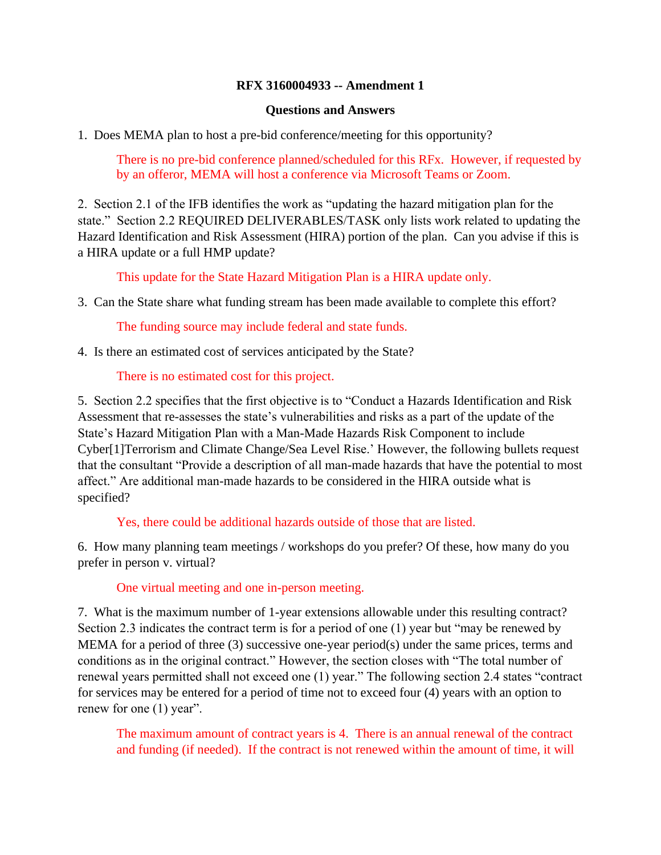## **RFX 3160004933 -- Amendment 1**

## **Questions and Answers**

1. Does MEMA plan to host a pre-bid conference/meeting for this opportunity?

There is no pre-bid conference planned/scheduled for this RFx. However, if requested by by an offeror, MEMA will host a conference via Microsoft Teams or Zoom.

2. Section 2.1 of the IFB identifies the work as "updating the hazard mitigation plan for the state." Section 2.2 REQUIRED DELIVERABLES/TASK only lists work related to updating the Hazard Identification and Risk Assessment (HIRA) portion of the plan. Can you advise if this is a HIRA update or a full HMP update?

This update for the State Hazard Mitigation Plan is a HIRA update only.

3. Can the State share what funding stream has been made available to complete this effort?

The funding source may include federal and state funds.

4. Is there an estimated cost of services anticipated by the State?

There is no estimated cost for this project.

5. Section 2.2 specifies that the first objective is to "Conduct a Hazards Identification and Risk Assessment that re-assesses the state's vulnerabilities and risks as a part of the update of the State's Hazard Mitigation Plan with a Man-Made Hazards Risk Component to include Cyber[1]Terrorism and Climate Change/Sea Level Rise.' However, the following bullets request that the consultant "Provide a description of all man-made hazards that have the potential to most affect." Are additional man-made hazards to be considered in the HIRA outside what is specified?

Yes, there could be additional hazards outside of those that are listed.

6. How many planning team meetings / workshops do you prefer? Of these, how many do you prefer in person v. virtual?

One virtual meeting and one in-person meeting.

7. What is the maximum number of 1-year extensions allowable under this resulting contract? Section 2.3 indicates the contract term is for a period of one (1) year but "may be renewed by MEMA for a period of three (3) successive one-year period(s) under the same prices, terms and conditions as in the original contract." However, the section closes with "The total number of renewal years permitted shall not exceed one (1) year." The following section 2.4 states "contract for services may be entered for a period of time not to exceed four (4) years with an option to renew for one (1) year".

 The maximum amount of contract years is 4. There is an annual renewal of the contract and funding (if needed). If the contract is not renewed within the amount of time, it will